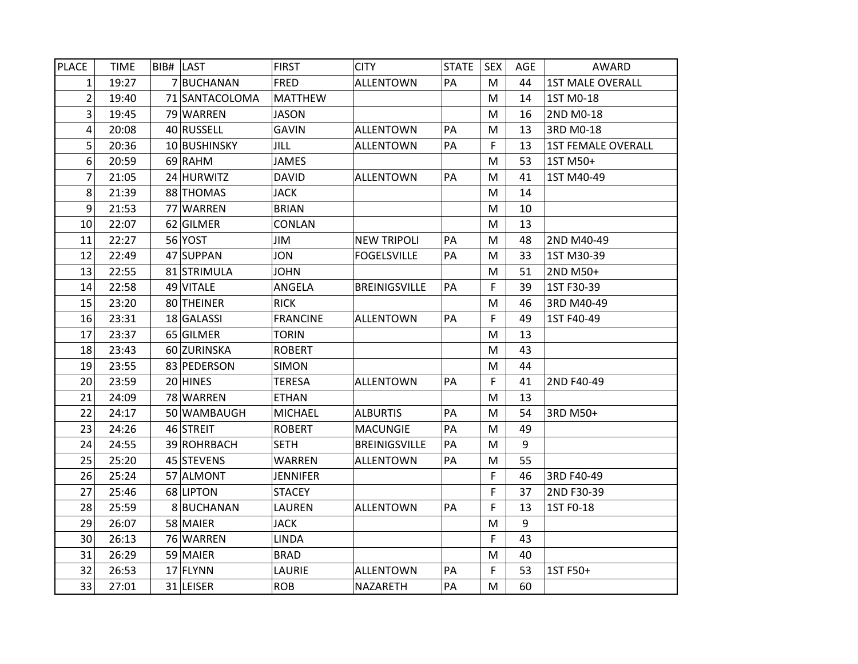| <b>PLACE</b> | <b>TIME</b> | BIB# LAST      | <b>FIRST</b>    | <b>CITY</b>          | <b>STATE</b> | <b>SEX</b> | AGE | AWARD                     |
|--------------|-------------|----------------|-----------------|----------------------|--------------|------------|-----|---------------------------|
| 1            | 19:27       | 7 BUCHANAN     | <b>FRED</b>     | <b>ALLENTOWN</b>     | PA           | M          | 44  | <b>1ST MALE OVERALL</b>   |
| 2            | 19:40       | 71 SANTACOLOMA | <b>MATTHEW</b>  |                      |              | M          | 14  | 1ST M0-18                 |
| 3            | 19:45       | 79 WARREN      | <b>JASON</b>    |                      |              | M          | 16  | 2ND M0-18                 |
| 4            | 20:08       | 40 RUSSELL     | <b>GAVIN</b>    | <b>ALLENTOWN</b>     | PA           | M          | 13  | 3RD M0-18                 |
| 5            | 20:36       | 10 BUSHINSKY   | <b>JILL</b>     | <b>ALLENTOWN</b>     | PA           | F          | 13  | <b>1ST FEMALE OVERALL</b> |
| 6            | 20:59       | 69 RAHM        | <b>JAMES</b>    |                      |              | M          | 53  | 1ST M50+                  |
| 7            | 21:05       | 24 HURWITZ     | <b>DAVID</b>    | <b>ALLENTOWN</b>     | PA           | M          | 41  | 1ST M40-49                |
| 8            | 21:39       | 88 THOMAS      | <b>JACK</b>     |                      |              | M          | 14  |                           |
| 9            | 21:53       | 77 WARREN      | <b>BRIAN</b>    |                      |              | М          | 10  |                           |
| 10           | 22:07       | 62 GILMER      | <b>CONLAN</b>   |                      |              | M          | 13  |                           |
| 11           | 22:27       | 56 YOST        | JIM             | <b>NEW TRIPOLI</b>   | PA           | M          | 48  | 2ND M40-49                |
| 12           | 22:49       | 47 SUPPAN      | <b>JON</b>      | <b>FOGELSVILLE</b>   | PA           | M          | 33  | 1ST M30-39                |
| 13           | 22:55       | 81 STRIMULA    | <b>JOHN</b>     |                      |              | M          | 51  | 2ND M50+                  |
| 14           | 22:58       | 49 VITALE      | ANGELA          | <b>BREINIGSVILLE</b> | PA           | F          | 39  | 1ST F30-39                |
| 15           | 23:20       | 80 THEINER     | <b>RICK</b>     |                      |              | М          | 46  | 3RD M40-49                |
| 16           | 23:31       | 18 GALASSI     | <b>FRANCINE</b> | <b>ALLENTOWN</b>     | PA           | F          | 49  | 1ST F40-49                |
| 17           | 23:37       | 65 GILMER      | <b>TORIN</b>    |                      |              | M          | 13  |                           |
| 18           | 23:43       | 60 ZURINSKA    | <b>ROBERT</b>   |                      |              | M          | 43  |                           |
| 19           | 23:55       | 83 PEDERSON    | <b>SIMON</b>    |                      |              | M          | 44  |                           |
| 20           | 23:59       | 20 HINES       | <b>TERESA</b>   | <b>ALLENTOWN</b>     | PA           | F          | 41  | 2ND F40-49                |
| 21           | 24:09       | 78 WARREN      | <b>ETHAN</b>    |                      |              | ${\sf M}$  | 13  |                           |
| 22           | 24:17       | 50 WAMBAUGH    | <b>MICHAEL</b>  | <b>ALBURTIS</b>      | PA           | M          | 54  | 3RD M50+                  |
| 23           | 24:26       | 46 STREIT      | <b>ROBERT</b>   | <b>MACUNGIE</b>      | PA           | M          | 49  |                           |
| 24           | 24:55       | 39 ROHRBACH    | <b>SETH</b>     | <b>BREINIGSVILLE</b> | PA           | ${\sf M}$  | 9   |                           |
| 25           | 25:20       | 45 STEVENS     | WARREN          | <b>ALLENTOWN</b>     | PA           | M          | 55  |                           |
| 26           | 25:24       | 57 ALMONT      | <b>JENNIFER</b> |                      |              | F          | 46  | 3RD F40-49                |
| 27           | 25:46       | 68 LIPTON      | <b>STACEY</b>   |                      |              | F          | 37  | 2ND F30-39                |
| 28           | 25:59       | 8BUCHANAN      | LAUREN          | <b>ALLENTOWN</b>     | PA           | F          | 13  | 1ST F0-18                 |
| 29           | 26:07       | 58 MAIER       | <b>JACK</b>     |                      |              | M          | 9   |                           |
| 30           | 26:13       | 76 WARREN      | <b>LINDA</b>    |                      |              | F          | 43  |                           |
| 31           | 26:29       | 59 MAIER       | <b>BRAD</b>     |                      |              | M          | 40  |                           |
| 32           | 26:53       | 17 FLYNN       | LAURIE          | <b>ALLENTOWN</b>     | PA           | F          | 53  | 1ST F50+                  |
| 33           | 27:01       | 31 LEISER      | <b>ROB</b>      | NAZARETH             | PA           | М          | 60  |                           |